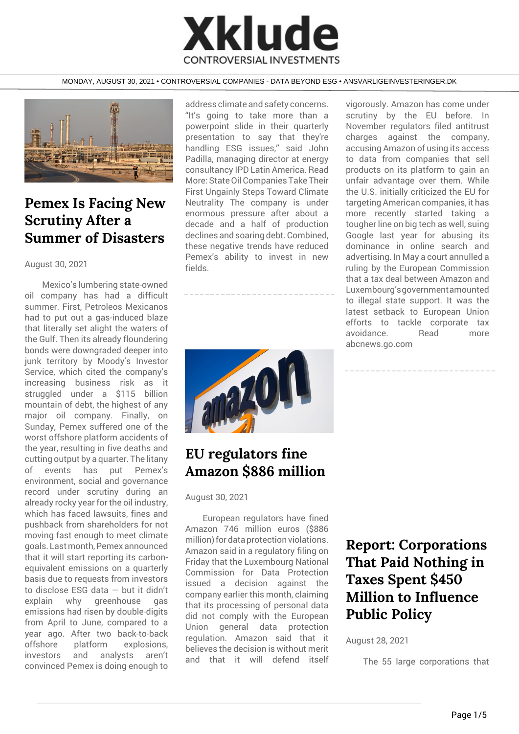# **Xklude CONTROVERSIAL INVESTMENTS**

#### MONDAY, AUGUST 30, 2021 • CONTROVERSIAL COMPANIES - DATA BEYOND ESG • ANSVARLIGEINVESTERINGER.DK



### **Pemex Is Facing New Scrutiny After a Summer of Disasters**

#### August 30, 2021

Mexico's lumbering state-owned oil company has had a difficult summer. First, Petroleos Mexicanos had to put out a gas-induced blaze that literally set alight the waters of the Gulf. Then its already floundering bonds were downgraded deeper into junk territory by Moody's Investor Service, which cited the company's increasing business risk as it struggled under a \$115 billion mountain of debt, the highest of any major oil company. Finally, on Sunday, Pemex suffered one of the worst offshore platform accidents of the year, resulting in five deaths and cutting output by a quarter. The litany of events has put Pemex's environment, social and governance record under scrutiny during an already rocky year for the oil industry, which has faced lawsuits, fines and pushback from shareholders for not moving fast enough to meet climate goals. Last month, Pemex announced that it will start reporting its carbonequivalent emissions on a quarterly basis due to requests from investors to disclose ESG data — but it didn't explain why greenhouse gas emissions had risen by double-digits from April to June, compared to a year ago. After two back-to-back offshore platform explosions, investors and analysts aren't convinced Pemex is doing enough to

address climate and safety concerns. "It's going to take more than a powerpoint slide in their quarterly presentation to say that they're handling ESG issues," said John Padilla, managing director at energy consultancy IPD Latin America. Read More: State Oil Companies Take Their First Ungainly Steps Toward Climate Neutrality The company is under enormous pressure after about a decade and a half of production declines and soaring debt. Combined, these negative trends have reduced Pemex's ability to invest in new fields.



### **EU regulators fine Amazon \$886 million**

August 30, 2021

European regulators have fined Amazon 746 million euros (\$886 million) for data protection violations. Amazon said in a regulatory filing on Friday that the Luxembourg National Commission for Data Protection issued a decision against the company earlier this month, claiming that its processing of personal data did not comply with the European Union general data protection regulation. Amazon said that it believes the decision is without merit and that it will defend itself vigorously. Amazon has come under scrutiny by the EU before. In November regulators filed antitrust charges against the company, accusing Amazon of using its access to data from companies that sell products on its platform to gain an unfair advantage over them. While the U.S. initially criticized the EU for targeting American companies, it has more recently started taking a tougher line on big tech as well, suing Google last year for abusing its dominance in online search and advertising. In May a court annulled a ruling by the European Commission that a tax deal between Amazon and Luxembourg'sgovernmentamounted to illegal state support. It was the latest setback to European Union efforts to tackle corporate tax avoidance. Read more abcnews.go.com



### **Report: Corporations That Paid Nothing in Taxes Spent \$450 Million to Influence Public Policy**

August 28, 2021

The 55 large corporations that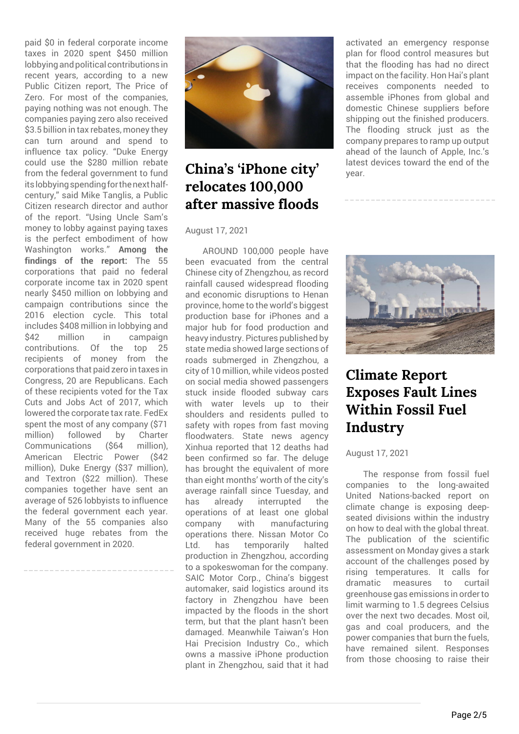paid \$0 in federal corporate income taxes in 2020 spent \$450 million lobbying and political contributions in recent years, according to a new Public Citizen report, The Price of Zero. For most of the companies, paying nothing was not enough. The companies paying zero also received \$3.5 billion in tax rebates, money they can turn around and spend to influence tax policy. "Duke Energy could use the \$280 million rebate from the federal government to fund its lobbying spending for the next halfcentury," said Mike Tanglis, a Public Citizen research director and author of the report. "Using Uncle Sam's money to lobby against paying taxes is the perfect embodiment of how Washington works." **Among the findings of the report:** The 55 corporations that paid no federal corporate income tax in 2020 spent nearly \$450 million on lobbying and campaign contributions since the 2016 election cycle. This total includes \$408 million in lobbying and<br>\$42 million in campaign million in campaign contributions. Of the top 25 recipients of money from the corporations that paid zero in taxes in Congress, 20 are Republicans. Each of these recipients voted for the Tax Cuts and Jobs Act of 2017, which lowered the corporate tax rate. FedEx spent the most of any company (\$71 million) followed by Charter Communications (\$64 million), American Electric Power (\$42 million), Duke Energy (\$37 million), and Textron (\$22 million). These companies together have sent an average of 526 lobbyists to influence the federal government each year. Many of the 55 companies also received huge rebates from the federal government in 2020.



### **China's 'iPhone city' relocates 100,000 after massive floods**

#### August 17, 2021

AROUND 100,000 people have been evacuated from the central Chinese city of Zhengzhou, as record rainfall caused widespread flooding and economic disruptions to Henan province, home to the world's biggest production base for iPhones and a major hub for food production and heavy industry. Pictures published by state media showed large sections of roads submerged in Zhengzhou, a city of 10 million, while videos posted on social media showed passengers stuck inside flooded subway cars with water levels up to their shoulders and residents pulled to safety with ropes from fast moving floodwaters. State news agency Xinhua reported that 12 deaths had been confirmed so far. The deluge has brought the equivalent of more than eight months' worth of the city's average rainfall since Tuesday, and has already interrupted the operations of at least one global company with manufacturing operations there. Nissan Motor Co Ltd. has temporarily halted production in Zhengzhou, according to a spokeswoman for the company. SAIC Motor Corp., China's biggest automaker, said logistics around its factory in Zhengzhou have been impacted by the floods in the short term, but that the plant hasn't been damaged. Meanwhile Taiwan's Hon Hai Precision Industry Co., which owns a massive iPhone production plant in Zhengzhou, said that it had

activated an emergency response plan for flood control measures but that the flooding has had no direct impact on the facility. Hon Hai's plant receives components needed to assemble iPhones from global and domestic Chinese suppliers before shipping out the finished producers. The flooding struck just as the company prepares to ramp up output ahead of the launch of Apple, Inc.'s latest devices toward the end of the year.



# **Climate Report Exposes Fault Lines Within Fossil Fuel Industry**

#### August 17, 2021

The response from fossil fuel companies to the long-awaited United Nations-backed report on climate change is exposing deepseated divisions within the industry on how to deal with the global threat. The publication of the scientific assessment on Monday gives a stark account of the challenges posed by rising temperatures. It calls for dramatic measures to curtail greenhouse gas emissions in order to limit warming to 1.5 degrees Celsius over the next two decades. Most oil, gas and coal producers, and the power companies that burn the fuels, have remained silent. Responses from those choosing to raise their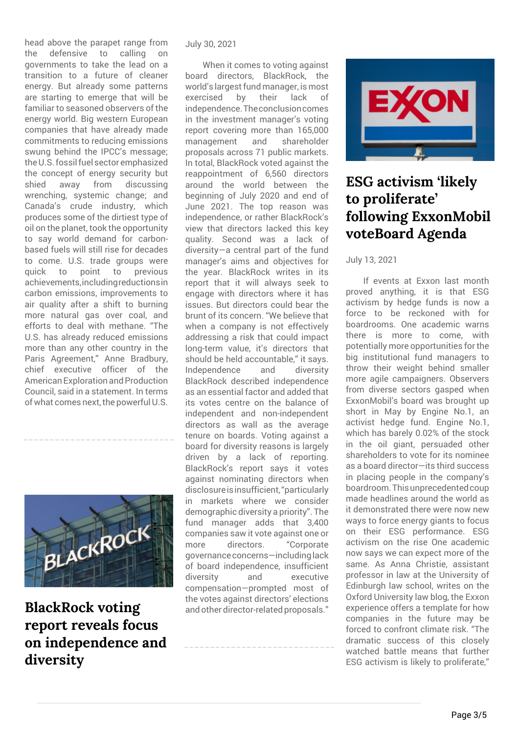head above the parapet range from the defensive to calling governments to take the lead on a transition to a future of cleaner energy. But already some patterns are starting to emerge that will be familiar to seasoned observers of the energy world. Big western European companies that have already made commitments to reducing emissions swung behind the IPCC's message; the U.S. fossil fuel sector emphasized the concept of energy security but shied away from discussing wrenching, systemic change; and Canada's crude industry, which produces some of the dirtiest type of oil on the planet, took the opportunity to say world demand for carbonbased fuels will still rise for decades to come. U.S. trade groups were quick to point to previous achievements,includingreductionsin carbon emissions, improvements to air quality after a shift to burning more natural gas over coal, and efforts to deal with methane. "The U.S. has already reduced emissions more than any other country in the Paris Agreement," Anne Bradbury, chief executive officer of the American Exploration and Production Council, said in a statement. In terms of what comes next, the powerful U.S.



**BlackRock voting report reveals focus on independence and diversity**

#### July 30, 2021

When it comes to voting against board directors, BlackRock, the world's largest fund manager, is most exercised by their lack of independence.Theconclusioncomes in the investment manager's voting report covering more than 165,000 management and shareholder proposals across 71 public markets. In total, BlackRock voted against the reappointment of 6,560 directors around the world between the beginning of July 2020 and end of June 2021. The top reason was independence, or rather BlackRock's view that directors lacked this key quality. Second was a lack of diversity—a central part of the fund manager's aims and objectives for the year. BlackRock writes in its report that it will always seek to engage with directors where it has issues. But directors could bear the brunt of its concern. "We believe that when a company is not effectively addressing a risk that could impact long-term value, it's directors that should be held accountable," it says. Independence and diversity BlackRock described independence as an essential factor and added that its votes centre on the balance of independent and non-independent directors as wall as the average tenure on boards. Voting against a board for diversity reasons is largely driven by a lack of reporting. BlackRock's report says it votes against nominating directors when disclosureisinsufficient,"particularly in markets where we consider demographic diversity a priority". The fund manager adds that 3,400 companies saw it vote against one or more directors. "Corporate governanceconcerns—includinglack of board independence, insufficient diversity and executive compensation—prompted most of the votes against directors' elections and other director-related proposals."



### **ESG activism 'likely to proliferate' following ExxonMobil voteBoard Agenda**

July 13, 2021

If events at Exxon last month proved anything, it is that ESG activism by hedge funds is now a force to be reckoned with for boardrooms. One academic warns there is more to come, with potentially more opportunities for the big institutional fund managers to throw their weight behind smaller more agile campaigners. Observers from diverse sectors gasped when ExxonMobil's board was brought up short in May by Engine No.1, an activist hedge fund. Engine No.1, which has barely 0.02% of the stock in the oil giant, persuaded other shareholders to vote for its nominee as a board director—its third success in placing people in the company's boardroom.Thisunprecedentedcoup made headlines around the world as it demonstrated there were now new ways to force energy giants to focus on their ESG performance. ESG activism on the rise One academic now says we can expect more of the same. As Anna Christie, assistant professor in law at the University of Edinburgh law school, writes on the Oxford University law blog, the Exxon experience offers a template for how companies in the future may be forced to confront climate risk. "The dramatic success of this closely watched battle means that further ESG activism is likely to proliferate,"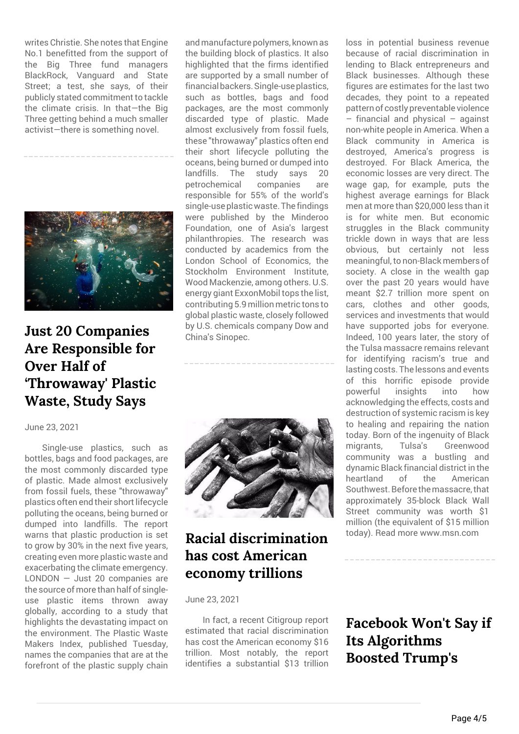writes Christie. She notes that Engine No.1 benefitted from the support of the Big Three fund managers BlackRock, Vanguard and State Street; a test, she says, of their publicly stated commitment to tackle the climate crisis. In that—the Big Three getting behind a much smaller activist—there is something novel.



### **Just 20 Companies Are Responsible for Over Half of 'Throwaway' Plastic Waste, Study Says**

#### June 23, 2021

Single-use plastics, such as bottles, bags and food packages, are the most commonly discarded type of plastic. Made almost exclusively from fossil fuels, these "throwaway" plastics often end their short lifecycle polluting the oceans, being burned or dumped into landfills. The report warns that plastic production is set to grow by 30% in the next five years, creating even more plastic waste and exacerbating the climate emergency. LONDON — Just 20 companies are the source of more than half of singleuse plastic items thrown away globally, according to a study that highlights the devastating impact on the environment. The Plastic Waste Makers Index, published Tuesday, names the companies that are at the forefront of the plastic supply chain

and manufacture polymers, known as the building block of plastics. It also highlighted that the firms identified are supported by a small number of financialbackers.Single-useplastics, such as bottles, bags and food packages, are the most commonly discarded type of plastic. Made almost exclusively from fossil fuels, these "throwaway" plastics often end their short lifecycle polluting the oceans, being burned or dumped into landfills. The study says 20 petrochemical companies are responsible for 55% of the world's single-use plastic waste. The findings were published by the Minderoo Foundation, one of Asia's largest philanthropies. The research was conducted by academics from the London School of Economics, the Stockholm Environment Institute, Wood Mackenzie, among others. U.S. energy giant ExxonMobil tops the list, contributing 5.9 million metric tons to global plastic waste, closely followed by U.S. chemicals company Dow and China's Sinopec.



### **Racial discrimination has cost American economy trillions**

June 23, 2021

In fact, a recent Citigroup report estimated that racial discrimination has cost the American economy \$16 trillion. Most notably, the report identifies a substantial \$13 trillion

loss in potential business revenue because of racial discrimination in lending to Black entrepreneurs and Black businesses. Although these figures are estimates for the last two decades, they point to a repeated pattern of costly preventable violence – financial and physical – against non-white people in America. When a Black community in America is destroyed, America's progress is destroyed. For Black America, the economic losses are very direct. The wage gap, for example, puts the highest average earnings for Black men at more than \$20,000 less than it is for white men. But economic struggles in the Black community trickle down in ways that are less obvious, but certainly not less meaningful, to non-Black members of society. A close in the wealth gap over the past 20 years would have meant \$2.7 trillion more spent on cars, clothes and other goods, services and investments that would have supported jobs for everyone. Indeed, 100 years later, the story of the Tulsa massacre remains relevant for identifying racism's true and lasting costs. The lessons and events of this horrific episode provide powerful insights into how acknowledging the effects, costs and destruction of systemic racism is key to healing and repairing the nation today. Born of the ingenuity of Black migrants, Tulsa's Greenwood community was a bustling and dynamic Black financial district in the heartland of the American Southwest. Before the massacre, that approximately 35-block Black Wall Street community was worth \$1 million (the equivalent of \$15 million today). Read more www.msn.com

### **Facebook Won't Say if Its Algorithms Boosted Trump's**